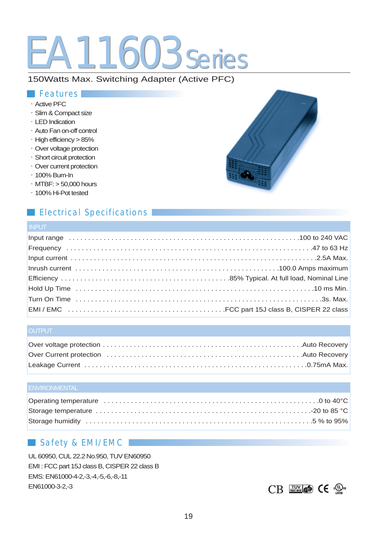# EA11603 series

## 150Watts Max. Switching Adapter (Active PFC)

## *Features*

- $\cdot$  Active PFC
- · Slim & Compact size
- $\cdot$  LED Indication
- $\cdot$  Auto Fan on-off control
- $\cdot$  High efficiency  $> 85\%$
- · Over voltage protection
- · Short circuit protection
- Over current protection
- $\cdot$  100% Burn-In
- $·$  MTBF:  $> 50,000$  hours
- · 100% Hi-Pot tested

## *Electrical Specifications*

## **INPUT**

## **OUTPUT**

| Over Current protection (etc.) Automatic extensive control (etc.) Automateur (etc.) Automateur (etc.) |  |
|-------------------------------------------------------------------------------------------------------|--|
|                                                                                                       |  |

## *Safety & EMI/EMC*

UL 60950, CUL 22.2 No.950, TUV EN60950 EMI : FCC part 15J class B, CISPER 22 class B EMS: EN61000-4-2,-3,-4,-5,-6,-8,-11 EN61000-3-2,-3